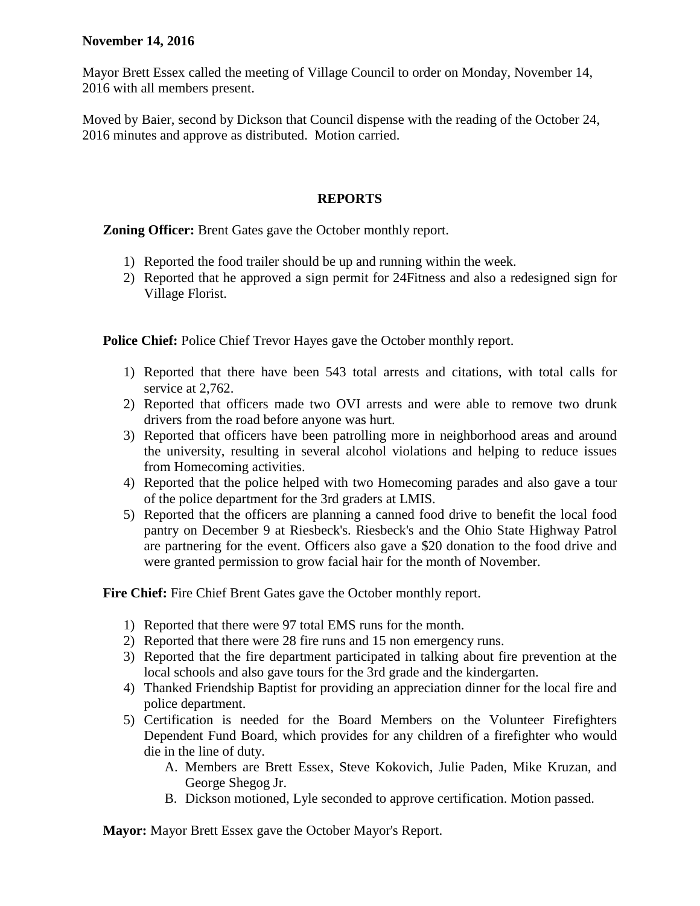## **November 14, 2016**

Mayor Brett Essex called the meeting of Village Council to order on Monday, November 14, 2016 with all members present.

Moved by Baier, second by Dickson that Council dispense with the reading of the October 24, 2016 minutes and approve as distributed. Motion carried.

## **REPORTS**

**Zoning Officer:** Brent Gates gave the October monthly report.

- 1) Reported the food trailer should be up and running within the week.
- 2) Reported that he approved a sign permit for 24Fitness and also a redesigned sign for Village Florist.

**Police Chief:** Police Chief Trevor Hayes gave the October monthly report.

- 1) Reported that there have been 543 total arrests and citations, with total calls for service at 2,762.
- 2) Reported that officers made two OVI arrests and were able to remove two drunk drivers from the road before anyone was hurt.
- 3) Reported that officers have been patrolling more in neighborhood areas and around the university, resulting in several alcohol violations and helping to reduce issues from Homecoming activities.
- 4) Reported that the police helped with two Homecoming parades and also gave a tour of the police department for the 3rd graders at LMIS.
- 5) Reported that the officers are planning a canned food drive to benefit the local food pantry on December 9 at Riesbeck's. Riesbeck's and the Ohio State Highway Patrol are partnering for the event. Officers also gave a \$20 donation to the food drive and were granted permission to grow facial hair for the month of November.

**Fire Chief:** Fire Chief Brent Gates gave the October monthly report.

- 1) Reported that there were 97 total EMS runs for the month.
- 2) Reported that there were 28 fire runs and 15 non emergency runs.
- 3) Reported that the fire department participated in talking about fire prevention at the local schools and also gave tours for the 3rd grade and the kindergarten.
- 4) Thanked Friendship Baptist for providing an appreciation dinner for the local fire and police department.
- 5) Certification is needed for the Board Members on the Volunteer Firefighters Dependent Fund Board, which provides for any children of a firefighter who would die in the line of duty.
	- A. Members are Brett Essex, Steve Kokovich, Julie Paden, Mike Kruzan, and George Shegog Jr.
	- B. Dickson motioned, Lyle seconded to approve certification. Motion passed.

**Mayor:** Mayor Brett Essex gave the October Mayor's Report.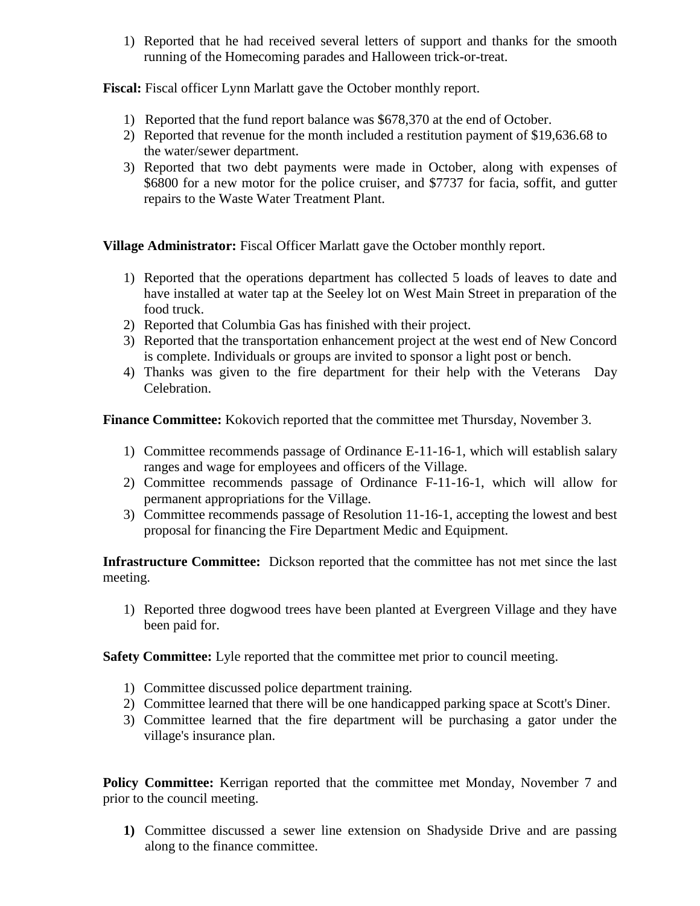1) Reported that he had received several letters of support and thanks for the smooth running of the Homecoming parades and Halloween trick-or-treat.

**Fiscal:** Fiscal officer Lynn Marlatt gave the October monthly report.

- 1) Reported that the fund report balance was \$678,370 at the end of October.
- 2) Reported that revenue for the month included a restitution payment of \$19,636.68 to the water/sewer department.
- 3) Reported that two debt payments were made in October, along with expenses of \$6800 for a new motor for the police cruiser, and \$7737 for facia, soffit, and gutter repairs to the Waste Water Treatment Plant.

**Village Administrator:** Fiscal Officer Marlatt gave the October monthly report.

- 1) Reported that the operations department has collected 5 loads of leaves to date and have installed at water tap at the Seeley lot on West Main Street in preparation of the food truck.
- 2) Reported that Columbia Gas has finished with their project.
- 3) Reported that the transportation enhancement project at the west end of New Concord is complete. Individuals or groups are invited to sponsor a light post or bench.
- 4) Thanks was given to the fire department for their help with the Veterans Day Celebration.

**Finance Committee:** Kokovich reported that the committee met Thursday, November 3.

- 1) Committee recommends passage of Ordinance E-11-16-1, which will establish salary ranges and wage for employees and officers of the Village.
- 2) Committee recommends passage of Ordinance F-11-16-1, which will allow for permanent appropriations for the Village.
- 3) Committee recommends passage of Resolution 11-16-1, accepting the lowest and best proposal for financing the Fire Department Medic and Equipment.

**Infrastructure Committee:** Dickson reported that the committee has not met since the last meeting.

1) Reported three dogwood trees have been planted at Evergreen Village and they have been paid for.

**Safety Committee:** Lyle reported that the committee met prior to council meeting.

- 1) Committee discussed police department training.
- 2) Committee learned that there will be one handicapped parking space at Scott's Diner.
- 3) Committee learned that the fire department will be purchasing a gator under the village's insurance plan.

**Policy Committee:** Kerrigan reported that the committee met Monday, November 7 and prior to the council meeting.

**1)** Committee discussed a sewer line extension on Shadyside Drive and are passing along to the finance committee.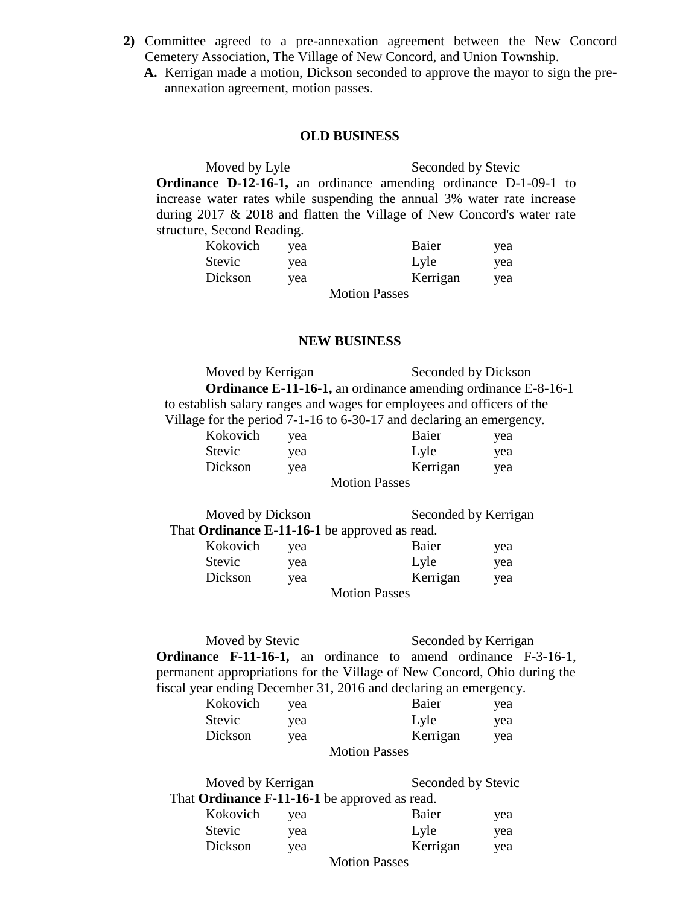- **2)** Committee agreed to a pre-annexation agreement between the New Concord Cemetery Association, The Village of New Concord, and Union Township.
	- **A.** Kerrigan made a motion, Dickson seconded to approve the mayor to sign the preannexation agreement, motion passes.

## **OLD BUSINESS**

Moved by Lyle Seconded by Stevic **Ordinance D-12-16-1,** an ordinance amending ordinance D-1-09-1 to increase water rates while suspending the annual 3% water rate increase during 2017 & 2018 and flatten the Village of New Concord's water rate structure, Second Reading.

| Kokovich | yea | Baier                                        | yea |
|----------|-----|----------------------------------------------|-----|
| Stevic   | yea | Lyle                                         | yea |
| Dickson  | yea | Kerrigan                                     | yea |
|          |     | $M_{\odot}$ $L_{\odot}$ is the Decomposition |     |

Motion Passes

## **NEW BUSINESS**

Moved by Kerrigan Seconded by Dickson **Ordinance E-11-16-1,** an ordinance amending ordinance E-8-16-1 to establish salary ranges and wages for employees and officers of the Village for the period 7-1-16 to 6-30-17 and declaring an emergency.

| Kokovich | yea | Baier                | yea |
|----------|-----|----------------------|-----|
| Stevic   | yea | Lyle                 | yea |
| Dickson  | yea | Kerrigan             | yea |
|          |     | <b>Motion Passes</b> |     |

| Moved by Dickson |     | Seconded by Kerrigan                                 |     |
|------------------|-----|------------------------------------------------------|-----|
|                  |     | That <b>Ordinance E-11-16-1</b> be approved as read. |     |
| Kokovich         | vea | Baier                                                | yea |

| Stevic  | yea |                                              | Lyle     | yea |
|---------|-----|----------------------------------------------|----------|-----|
| Dickson | yea |                                              | Kerrigan | yea |
|         |     | $M_{\odot}$ $\sim$ $D_{\odot}$ $\sim$ $\sim$ |          |     |

Motion Passes

Moved by Stevic Seconded by Kerrigan **Ordinance F-11-16-1,** an ordinance to amend ordinance F-3-16-1, permanent appropriations for the Village of New Concord, Ohio during the fiscal year ending December 31, 2016 and declaring an emergency.

| Kokovich | yea |                      | Baier    | yea |
|----------|-----|----------------------|----------|-----|
| Stevic   | yea |                      | Lyle     | yea |
| Dickson  | yea |                      | Kerrigan | yea |
|          |     | <b>Motion Passes</b> |          |     |

| Moved by Kerrigan    |     | Seconded by Stevic                            |     |
|----------------------|-----|-----------------------------------------------|-----|
|                      |     | That Ordinance F-11-16-1 be approved as read. |     |
| Kokovich             | yea | Baier                                         | yea |
| <b>Stevic</b>        | yea | Lyle                                          | yea |
| Dickson              | yea | Kerrigan                                      | yea |
| <b>Motion Passes</b> |     |                                               |     |